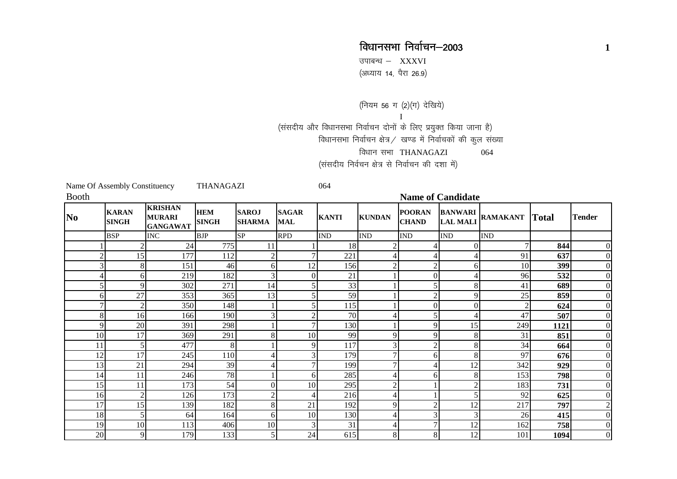## विधानसभा निर्वाचन–2003 **<sup>1</sup>**

उपाबन्ध $-$  XXXVI ,<br>(अध्याय 14, पैरा 26.9)

(नियम 56 ग (2)(ग) देखिये) I(संसदीय और विधानसभा निर्वाचन दोनों के लिए प्रयुक्त किया जाना है) विधानसभा निर्वाचन क्षेत्र / खण्ड में निर्वाचकों की कुल संख्या विधान सभा THANAGAZI 064 (संसदीय निर्वचन क्षेत्र से निर्वाचन की दशा में)

|                | Name Of Assembly Constituency |                                                    | <b>THANAGAZI</b>           |                               |                            | 064          |                             |                               |                                   |                 |              |                |  |
|----------------|-------------------------------|----------------------------------------------------|----------------------------|-------------------------------|----------------------------|--------------|-----------------------------|-------------------------------|-----------------------------------|-----------------|--------------|----------------|--|
| <b>Booth</b>   |                               |                                                    |                            |                               |                            |              |                             | <b>Name of Candidate</b>      |                                   |                 |              |                |  |
| No.            | <b>KARAN</b><br><b>SINGH</b>  | <b>KRISHAN</b><br><b>MURARI</b><br><b>GANGAWAT</b> | <b>HEM</b><br><b>SINGH</b> | <b>SAROJ</b><br><b>SHARMA</b> | <b>SAGAR</b><br><b>MAL</b> | <b>KANTI</b> | <b>KUNDAN</b>               | <b>POORAN</b><br><b>CHAND</b> | <b>BANWARI</b><br><b>LAL MALI</b> | <b>RAMAKANT</b> | <b>Total</b> | <b>Tender</b>  |  |
|                | <b>BSP</b>                    | <b>INC</b>                                         | <b>BJP</b>                 | <b>SP</b>                     | <b>RPD</b>                 | <b>IND</b>   | $\mathop{\rm IND}\nolimits$ | $\mathop{\rm IND}\nolimits$   | <b>IND</b>                        | <b>IND</b>      |              |                |  |
|                | $\boldsymbol{2}$              | 24                                                 | 775                        | 11                            |                            | 18           |                             | 4                             | 0                                 |                 | 844          | 0              |  |
| $\overline{2}$ | 15                            | 177                                                | 112                        | 2                             |                            | 221          |                             | $\overline{4}$                | 4                                 | 91              | 637          |                |  |
| 3              | 8                             | 151                                                | 46                         | 6                             | 12                         | 156          |                             | $\overline{2}$                | 6                                 | 10              | 399          | $\theta$       |  |
| 4              | 6                             | 219                                                | 182                        | 3 <sub>l</sub>                | $\Omega$                   | 21           |                             | $\mathbf{0}$                  | 4                                 | 96              | 532          | $\theta$       |  |
| 5              | 9                             | 302                                                | 271                        | 14                            |                            | 33           |                             | 5                             | 8                                 | 41              | 689          | 0              |  |
| 61             | 27                            | 353                                                | 365                        | 13                            |                            | 59           |                             | $\overline{2}$                | 9                                 | 25              | 859          |                |  |
| 7              | $\mathfrak 2$                 | 350                                                | 148                        |                               |                            | 115          |                             | $\Omega$                      | 0                                 |                 | 624          |                |  |
| 8              | 16                            | 166                                                | 190                        | 3                             |                            | 70           |                             | 5                             | Δ                                 | 47              | 507          | $\theta$       |  |
| 9              | 20                            | 391                                                | 298                        |                               |                            | 130          |                             | 9                             | 15                                | 249             | 1121         | 0              |  |
| 10             | 17                            | 369                                                | 291                        | 8                             | 10                         | 99           | q                           | 9                             | 8                                 | 31              | 851          | 0              |  |
| 11             | 5                             | 477                                                | 8                          |                               | 9                          | 117          |                             | $\overline{2}$                | 8                                 | 34              | 664          | 0              |  |
| 12             | 17                            | 245                                                | 110                        |                               |                            | 179          |                             | 6                             | 8                                 | 97              | 676          | 0              |  |
| 13             | 21                            | 294                                                | 39                         |                               |                            | 199          |                             | 4                             | 12                                | 342             | 929          |                |  |
| 14             | 11                            | 246                                                | 78                         |                               | 6                          | 285          |                             | 6                             | 8                                 | 153             | 798          |                |  |
| 15             | 11                            | 173                                                | 54                         | $\overline{0}$                | 10                         | 295          | ◠                           |                               | $\overline{2}$                    | 183             | 731          |                |  |
| 16             | $\overline{2}$                | 126                                                | 173                        | $\mathcal{L}$                 |                            | 216          |                             |                               | 5                                 | 92              | 625          | 0              |  |
| 17             | 15                            | 139                                                | 182                        | 8                             | 21                         | 192          | 9                           | $\sqrt{2}$                    | 12                                | 217             | 797          | $\overline{c}$ |  |
| 18             | 5                             | 64                                                 | 164                        | 6                             | 10                         | 130          |                             | 3 <sup>l</sup>                | 3                                 | 26              | 415          | 0              |  |
| 19             | 10                            | 113                                                | 406                        | 10                            |                            | 31           |                             | 7                             | 12                                | 162             | 758          | $\theta$       |  |
| 20             | 9                             | 179                                                | 133                        | 5                             | 24                         | 615          | 8                           | $8\,$                         | 12                                | 101             | 1094         | 0              |  |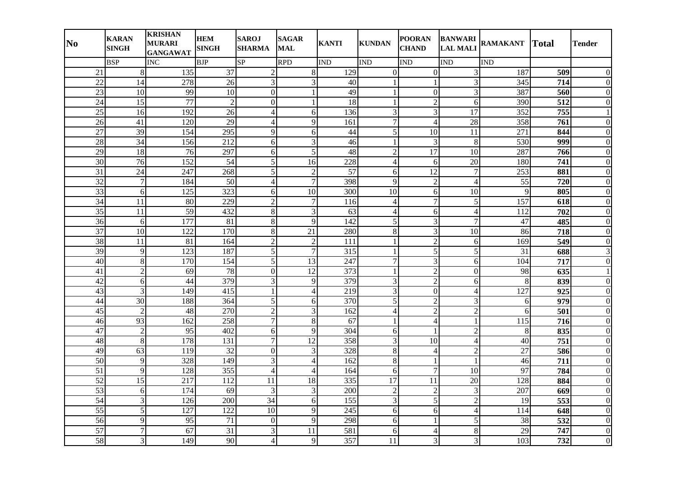| N <sub>0</sub>  | <b>KARAN</b><br><b>SINGH</b> | <b>KRISHAN</b><br><b>MURARI</b><br><b>GANGAWAT</b> | <b>HEM</b><br><b>SINGH</b> | <b>SAROJ</b><br><b>SHARMA</b> | <b>SAGAR</b><br><b>MAL</b> | <b>KANTI</b>     | <b>KUNDAN</b>  | <b>POORAN</b><br><b>CHAND</b> | <b>BANWARI</b><br><b>LAL MALI</b> | <b>RAMAKANT</b>  | <b>Total</b>     | <b>Tender</b>    |
|-----------------|------------------------------|----------------------------------------------------|----------------------------|-------------------------------|----------------------------|------------------|----------------|-------------------------------|-----------------------------------|------------------|------------------|------------------|
|                 | <b>BSP</b>                   | <b>INC</b>                                         | <b>BJP</b>                 | SP                            | <b>RPD</b>                 | <b>IND</b>       | <b>IND</b>     | <b>IND</b>                    | <b>IND</b>                        | <b>IND</b>       |                  |                  |
| 21              | 8                            | 135                                                | $\overline{37}$            | $\sqrt{2}$                    | 8                          | 129              | $\overline{0}$ | $\overline{0}$                | 3                                 | 187              | 509              | 0                |
| $\overline{22}$ | 14                           | 278                                                | $\overline{26}$            | $\mathfrak{Z}$                | 3                          | 40               |                | $\mathbf{1}$                  | 3                                 | 345              | 714              | 0                |
| $\overline{23}$ | 10                           | 99                                                 | 10                         | $\overline{0}$                | 1                          | 49               | 1              | $\overline{0}$                | $\overline{3}$                    | 387              | 560              | $\boldsymbol{0}$ |
| 24              | 15                           | 77                                                 | $\overline{2}$             | $\mathbf{0}$                  | $\mathbf{1}$               | $\overline{18}$  | $\mathbf{1}$   | $\overline{2}$                | 6                                 | 390              | 512              | $\Omega$         |
| 25              | 16                           | 192                                                | 26                         | $\overline{4}$                | 6                          | 136              | 3              | $\mathfrak{Z}$                | 17                                | 352              | 755              |                  |
| 26              | 41                           | 120                                                | 29                         | $\overline{4}$                | 9                          | 161              | $\overline{7}$ | $\overline{4}$                | 28                                | 358              | 761              | $\overline{0}$   |
| 27              | 39                           | 154                                                | 295                        | 9                             | 6                          | 44               | 5              | 10                            | 11                                | 271              | 844              | $\Omega$         |
| 28              | $\overline{34}$              | 156                                                | 212                        | $\sqrt{6}$                    | 3                          | 46               |                | $\mathfrak{Z}$                | 8                                 | 530              | 999              | $\overline{0}$   |
| $\overline{29}$ | 18                           | 76                                                 | 297                        | 6                             | 5                          | 48               | $\overline{2}$ | $\overline{17}$               | 10                                | 287              | 766              | $\Omega$         |
| 30              | 76                           | 152                                                | 54                         | $\sqrt{5}$                    | 16                         | 228              | $\overline{4}$ | 6                             | 20                                | 180              | 741              | $\overline{0}$   |
| 31              | 24                           | 247                                                | 268                        | 5                             | $\overline{2}$             | 57               | 6              | 12                            | $\overline{7}$                    | 253              | 881              | $\theta$         |
| 32              | $\overline{7}$               | 184                                                | 50                         | $\overline{4}$                | $\overline{7}$             | 398              | 9              | $\overline{2}$                | $\overline{4}$                    | 55               | 720              | $\boldsymbol{0}$ |
| $\overline{33}$ | 6                            | 125                                                | 323                        | 6                             | 10                         | 300              | 10             | 6                             | 10                                | 9                | 805              | $\overline{0}$   |
| 34              | 11                           | 80                                                 | 229                        | $\overline{2}$                | $\overline{7}$             | 116              | $\overline{4}$ | 7                             | 5                                 | 157              | $\overline{618}$ | $\theta$         |
| 35              | 11                           | 59                                                 | 432                        | $\,8\,$                       | 3                          | 63               | $\overline{4}$ | 6                             | $\overline{4}$                    | 112              | 702              | $\overline{0}$   |
| 36              | 6                            | 177                                                | 81                         | $\,8\,$                       | 9                          | 142              | $\overline{5}$ | 3                             | $\overline{7}$                    | 47               | 485              | $\theta$         |
| 37              | 10                           | 122                                                | 170                        | $\,8\,$                       | 21                         | 280              | $8\,$          | $\mathfrak{Z}$                | 10                                | 86               | 718              | $\boldsymbol{0}$ |
| 38              | 11                           | $\overline{81}$                                    | 164                        | $\overline{2}$                | $\overline{2}$             | 111              | 1              | $\overline{2}$                | 6                                 | 169              | $\overline{549}$ | $\overline{0}$   |
| 39              | 9                            | 123                                                | 187                        | $\sqrt{5}$                    | $\overline{7}$             | 315              | 1              | $\sqrt{5}$                    | 5                                 | 31               | 688              | 3                |
| 40              | 8                            | 170                                                | 154                        | 5                             | 13                         | 247              | 7              | $\mathfrak{Z}$                | 6                                 | 104              | 717              | $\theta$         |
| 41              | $\overline{2}$               | 69                                                 | 78                         | $\mathbf{0}$                  | 12                         | 373              |                | $\overline{2}$                | $\theta$                          | 98               | 635              |                  |
| 42              | 6                            | 44                                                 | 379                        | $\mathfrak{Z}$                | 9                          | 379              | 3              | $\overline{2}$                | 6                                 | 8                | 839              | $\Omega$         |
| $\overline{43}$ | 3                            | 149                                                | $\overline{415}$           | $\mathbf{1}$                  | $\overline{4}$             | $\overline{219}$ | $\overline{3}$ | $\mathbf{0}$                  | $\overline{4}$                    | $\overline{127}$ | 925              | $\theta$         |
| 44              | 30                           | 188                                                | 364                        | $\sqrt{5}$                    | 6                          | 370              | $\overline{5}$ | $\overline{2}$                | 3                                 | 6                | 979              | $\Omega$         |
| 45              | $\overline{2}$               | 48                                                 | 270                        | $\sqrt{2}$                    | 3                          | 162              | $\overline{4}$ | $\overline{2}$                | $\overline{2}$                    | 6                | 501              | $\overline{0}$   |
| 46              | 93                           | 162                                                | 258                        | $\boldsymbol{7}$              | $\,8\,$                    | 67               | 1              | $\overline{4}$                | $\mathbf{1}$                      | 115              | 716              | $\overline{0}$   |
| 47              | $\overline{c}$               | $\overline{95}$                                    | 402                        | 6                             | 9                          | 304              | 6              | $\mathbf{1}$                  | $\overline{2}$                    | 8                | 835              | $\overline{0}$   |
| 48              | 8                            | 178                                                | 131                        | $\overline{7}$                | $\overline{12}$            | 358              | 3              | 10                            | $\overline{4}$                    | 40               | 751              | $\Omega$         |
| 49              | 63                           | 119                                                | 32                         | $\boldsymbol{0}$              | 3                          | 328              | $\,8\,$        | $\overline{4}$                | $\overline{2}$                    | 27               | 586              | $\theta$         |
| $\overline{50}$ | 9                            | 328                                                | 149                        | 3                             | 4                          | 162              | $\overline{8}$ | $\mathbf{1}$                  |                                   | 46               | 711              | $\theta$         |
| $\overline{51}$ | 9                            | 128                                                | 355                        | $\overline{4}$                | 4                          | 164              | 6              | $\overline{7}$                | 10                                | 97               | 784              | 0                |
| 52              | $\overline{15}$              | 217                                                | 112                        | $\overline{11}$               | $\overline{18}$            | 335              | 17             | $\overline{11}$               | $\overline{20}$                   | 128              | 884              | $\overline{0}$   |
| 53              | 6                            | 174                                                | 69                         | 3                             | 3                          | 200              | $\overline{2}$ | $\overline{2}$                | 3                                 | 207              | 669              | $\overline{0}$   |
| 54              | 3                            | 126                                                | 200                        | 34                            | 6                          | 155              | 3              | 5                             | $\overline{c}$                    | 19               | 553              | $\overline{0}$   |
| $\overline{55}$ | 5                            | 127                                                | 122                        | 10                            | 9                          | 245              | 6              | 6                             | $\overline{4}$                    | 114              | 648              | $\mathbf{0}$     |
| 56              | 9                            | 95                                                 | 71                         | $\boldsymbol{0}$              | 9                          | 298              | 6              | $\mathbf{1}$                  | 5                                 | 38               | 532              | $\overline{0}$   |
| 57              | $\overline{7}$               | 67                                                 | 31                         | 3                             | 11                         | 581              | 6              | 4                             | 8                                 | 29               | 747              | $\Omega$         |
| 58              | $\mathfrak{Z}$               | 149                                                | 90                         | $\overline{4}$                | 9                          | 357              | 11             | 3                             | 3                                 | 103              | 732              | $\overline{0}$   |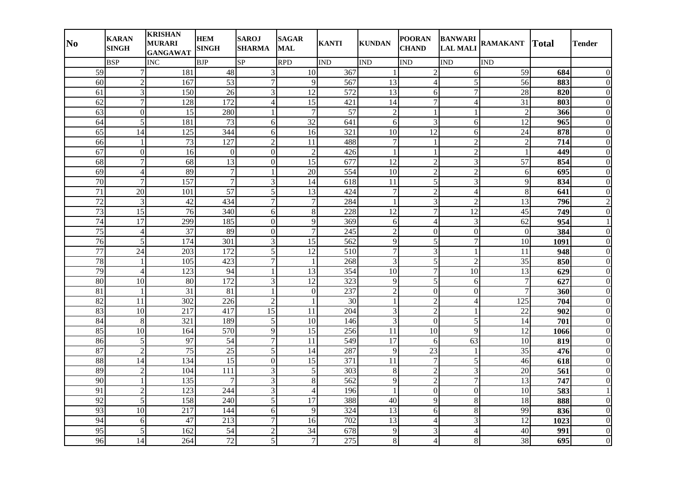| N <sub>0</sub>  | <b>KARAN</b><br><b>SINGH</b> | <b>KRISHAN</b><br><b>MURARI</b><br><b>GANGAWAT</b> | <b>HEM</b><br><b>SINGH</b> | <b>SAROJ</b><br><b>SHARMA</b> | <b>SAGAR</b><br><b>MAL</b> | <b>KANTI</b>     | <b>KUNDAN</b>           | <b>POORAN</b><br><b>CHAND</b> | <b>BANWARI</b><br><b>LAL MALI</b> | <b>RAMAKANT</b>          | <b>Total</b>     | <b>Tender</b>    |
|-----------------|------------------------------|----------------------------------------------------|----------------------------|-------------------------------|----------------------------|------------------|-------------------------|-------------------------------|-----------------------------------|--------------------------|------------------|------------------|
|                 | <b>BSP</b>                   | <b>INC</b>                                         | <b>BJP</b>                 | SP                            | <b>RPD</b>                 | <b>IND</b>       | IND                     | <b>IND</b>                    | $\overline{\text{IND}}$           | <b>IND</b>               |                  |                  |
| 59              | $\overline{7}$               | 181                                                | 48                         | $\mathfrak{Z}$                | 10                         | 367              |                         | $\overline{c}$                | 6                                 | 59                       | 684              | $\theta$         |
| $\overline{60}$ | $\overline{2}$               | 167                                                | $\overline{53}$            | $\overline{7}$                | 9                          | 567              | 13                      | $\overline{4}$                | $\overline{5}$                    | $\overline{56}$          | 883              | $\theta$         |
| 61              | 3                            | 150                                                | 26                         | $\mathfrak{Z}$                | 12                         | 572              | 13                      | 6                             | $\overline{7}$                    | 28                       | 820              | $\Omega$         |
| $\overline{62}$ | $\overline{7}$               | 128                                                | 172                        | $\overline{4}$                | 15                         | 421              | 14                      | $\overline{7}$                | $\overline{4}$                    | $\overline{31}$          | 803              | $\overline{0}$   |
| 63              | $\overline{0}$               | 15                                                 | 280                        | $\mathbf{1}$                  | $\overline{7}$             | $\overline{57}$  | $\overline{c}$          | $\mathbf{1}$                  | $\mathbf{1}$                      | $\overline{c}$           | 366              | $\Omega$         |
| 64              | 5                            | 181                                                | 73                         | 6                             | 32                         | 641              | 6                       | 3                             | 6                                 | 12                       | 965              | $\theta$         |
| 65              | 14                           | 125                                                | 344                        | 6                             | 16                         | 321              | 10                      | 12                            | 6                                 | 24                       | 878              | $\theta$         |
| 66              | -1                           | $\overline{73}$                                    | 127                        | $\sqrt{2}$                    | 11                         | 488              | 7                       | $\mathbf{1}$                  | $\overline{c}$                    | $\overline{\mathcal{L}}$ | $\overline{714}$ | $\overline{0}$   |
| 67              | $\overline{0}$               | 16                                                 | $\boldsymbol{0}$           | $\mathbf{0}$                  | $\overline{2}$             | 426              |                         | $\mathbf{1}$                  | $\overline{2}$                    |                          | 449              | $\overline{0}$   |
| 68              | $\overline{7}$               | 68                                                 | $\overline{13}$            | $\boldsymbol{0}$              | 15                         | 677              | 12                      | $\overline{c}$                | 3                                 | 57                       | 854              | $\Omega$         |
| 69              | $\overline{4}$               | 89                                                 | $\tau$                     | $\mathbf{1}$                  | 20                         | 554              | 10                      | $\overline{2}$                | $\overline{2}$                    | 6                        | 695              | $\theta$         |
| 70              | $\overline{7}$               | 157                                                | $\overline{7}$             | $\overline{3}$                | 14                         | 618              | 11                      | 5                             | 3                                 | 9                        | 834              | $\overline{0}$   |
| 71              | $\overline{20}$              | 101                                                | $\overline{57}$            | $\overline{5}$                | $\overline{13}$            | 424              | $\overline{7}$          | $\overline{2}$                | $\overline{4}$                    | $\bf 8$                  | 641              | $\overline{0}$   |
| $\overline{72}$ | $\overline{3}$               | 42                                                 | 434                        | $\overline{7}$                | $\overline{7}$             | 284              |                         | 3                             | $\overline{2}$                    | 13                       | 796              | $\overline{2}$   |
| 73              | 15                           | 76                                                 | 340                        | 6                             | $\,8\,$                    | 228              | $\overline{12}$         | $\overline{7}$                | 12                                | 45                       | 749              | $\Omega$         |
| 74              | 17                           | 299                                                | 185                        | $\boldsymbol{0}$              | 9                          | 369              | 6                       | $\overline{4}$                | 3                                 | 62                       | 954              |                  |
| $\overline{75}$ | $\overline{4}$               | $\overline{37}$                                    | 89                         | $\overline{0}$                | $\overline{7}$             | $\overline{245}$ | $\overline{2}$          | $\boldsymbol{0}$              | $\overline{0}$                    | $\boldsymbol{0}$         | 384              | $\overline{0}$   |
| 76              | 5                            | 174                                                | 301                        | $\overline{3}$                | 15                         | 562              | $\overline{9}$          | $\overline{5}$                | $\overline{7}$                    | 10                       | 1091             | $\Omega$         |
| 77              | 24                           | 203                                                | 172                        | $\sqrt{5}$                    | $\overline{12}$            | 510              | $\overline{7}$          | 3                             | $\mathbf{1}$                      | 11                       | 948              | $\overline{0}$   |
| 78              | $\mathbf{1}$                 | 105                                                | 423                        | $\overline{7}$                | $\mathbf{1}$               | 268              | $\overline{3}$          | 5                             | $\overline{c}$                    | $\overline{35}$          | 850              | $\theta$         |
| 79              | $\overline{4}$               | 123                                                | 94                         | $\mathbf{1}$                  | 13                         | 354              | 10                      | $\overline{7}$                | 10                                | 13                       | 629              | $\theta$         |
| 80              | $\overline{10}$              | 80                                                 | $\overline{172}$           | $\mathfrak{Z}$                | $\overline{12}$            | 323              | 9                       | 5                             | 6                                 | $\overline{7}$           | 627              | $\theta$         |
| 81              | $\mathbf{1}$                 | 31                                                 | 81                         | $\mathbf{1}$                  | $\overline{0}$             | 237              | $\overline{c}$          | $\boldsymbol{0}$              | $\boldsymbol{0}$                  | $\overline{7}$           | 360              | $\Omega$         |
| $\overline{82}$ | 11                           | 302                                                | 226                        | $\overline{2}$                |                            | $\overline{30}$  |                         | $\overline{2}$                | $\overline{4}$                    | 125                      | 704              | $\overline{0}$   |
| 83              | $\overline{10}$              | 217                                                | 417                        | $\overline{15}$               | 11                         | 204              | $\overline{\mathbf{3}}$ | $\overline{2}$                | $\mathbf{1}$                      | $\overline{22}$          | 902              | $\Omega$         |
| 84              | 8                            | 321                                                | 189                        | $\sqrt{5}$                    | 10                         | 146              | $\overline{3}$          | $\mathbf{0}$                  | 5                                 | 14                       | 701              | $\boldsymbol{0}$ |
| 85              | $\overline{10}$              | 164                                                | 570                        | 9                             | $\overline{15}$            | 256              | $\overline{11}$         | $\overline{10}$               | $\overline{9}$                    | $\overline{12}$          | 1066             | $\overline{0}$   |
| 86              | 5                            | 97                                                 | 54                         | $\boldsymbol{7}$              | 11                         | 549              | 17                      | 6                             | 63                                | 10                       | 819              | $\Omega$         |
| 87              | $\overline{2}$               | $\overline{75}$                                    | 25                         | $\sqrt{5}$                    | $\overline{14}$            | 287              | 9                       | 23                            | $\mathbf{1}$                      | 35                       | 476              | $\Omega$         |
| 88              | 14                           | 134                                                | 15                         | $\boldsymbol{0}$              | $\overline{15}$            | 371              | 11                      | $\overline{7}$                | 5                                 | 46                       | 618              | $\Omega$         |
| 89              | $\overline{c}$               | 104                                                | 111                        | $\overline{3}$                | 5                          | 303              | 8                       | $\overline{c}$                | $\overline{3}$                    | $\overline{20}$          | 561              | $\Omega$         |
| 90              |                              | 135                                                | 7                          | $\overline{3}$                | 8                          | 562              | $\overline{9}$          | $\overline{2}$                | $\overline{7}$                    | $\overline{13}$          | 747              | $\Omega$         |
| 91              | $\overline{2}$               | 123                                                | 244                        | $\mathfrak{Z}$                | $\overline{4}$             | 196              | 1                       | $\boldsymbol{0}$              | $\overline{0}$                    | $\overline{10}$          | 583              |                  |
| 92              | 5                            | 158                                                | 240                        | 5                             | 17                         | 388              | 40                      | 9                             | 8                                 | 18                       | 888              | $\boldsymbol{0}$ |
| 93              | 10                           | 217                                                | 144                        | $\boldsymbol{6}$              | 9                          | 324              | 13                      | 6                             | 8                                 | 99                       | 836              | $\boldsymbol{0}$ |
| 94              | 6                            | 47                                                 | 213                        | $\boldsymbol{7}$              | 16                         | 702              | 13                      | $\overline{4}$                | 3                                 | 12                       | 1023             | $\overline{0}$   |
| 95              | 5                            | 162                                                | 54                         | $\sqrt{2}$                    | 34                         | 678              | 9                       | 3                             | $\overline{4}$                    | 40                       | 991              | $\boldsymbol{0}$ |
| 96              | 14                           | 264                                                | $72\,$                     | 5 <sup>1</sup>                | $\boldsymbol{7}$           | 275              | 8                       | $\overline{4}$                | $\bf 8$                           | 38                       | 695              | $\boldsymbol{0}$ |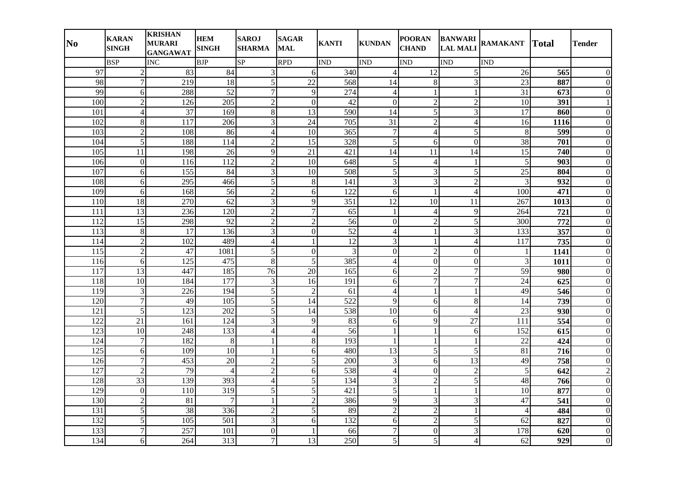| N <sub>0</sub>   | <b>KARAN</b><br><b>SINGH</b> | <b>KRISHAN</b><br><b>MURARI</b><br><b>GANGAWAT</b> | <b>HEM</b><br><b>SINGH</b> | <b>SAROJ</b><br><b>SHARMA</b> | <b>SAGAR</b><br><b>MAL</b> | <b>KANTI</b>    | <b>KUNDAN</b>            | <b>POORAN</b><br><b>CHAND</b> | <b>BANWARI</b><br><b>LAL MALI</b> | <b>RAMAKANT</b> | <b>Total</b>     | <b>Tender</b>    |
|------------------|------------------------------|----------------------------------------------------|----------------------------|-------------------------------|----------------------------|-----------------|--------------------------|-------------------------------|-----------------------------------|-----------------|------------------|------------------|
|                  | <b>BSP</b>                   | <b>INC</b>                                         | <b>BJP</b>                 | SP                            | <b>RPD</b>                 | <b>IND</b>      | IND                      | <b>IND</b>                    | $\overline{\text{IND}}$           | <b>IND</b>      |                  |                  |
| 97               | $\overline{2}$               | 83                                                 | 84                         | 3                             | 6                          | 340             | 4                        | 12                            | 5                                 | 26              | 565              | $\Omega$         |
| 98               | $\overline{7}$               | $\overline{219}$                                   | $\overline{18}$            | $\overline{5}$                | $\overline{22}$            | 568             | 14                       | 8                             | $\overline{3}$                    | 23              | 887              | $\Omega$         |
| 99               | 6                            | 288                                                | 52                         | $\overline{7}$                | 9                          | 274             | $\overline{\mathcal{L}}$ | $\mathbf{1}$                  | $\mathbf{1}$                      | 31              | 673              |                  |
| 100              | $\overline{2}$               | 126                                                | 205                        | $\overline{2}$                | $\overline{0}$             | 42              | $\overline{0}$           | $\overline{c}$                | $\overline{2}$                    | 10              | 391              |                  |
| 101              | $\overline{4}$               | $\overline{37}$                                    | 169                        | $\,8\,$                       | $\overline{13}$            | 590             | 14                       | 5                             | $\overline{3}$                    | $\overline{17}$ | 860              | $\Omega$         |
| 102              | 8                            | 117                                                | 206                        | 3                             | 24                         | 705             | 31                       | $\overline{c}$                | $\overline{4}$                    | 16              | 1116             | 0                |
| 103              | $\overline{2}$               | 108                                                | 86                         | $\overline{4}$                | 10                         | 365             | 7                        | $\overline{4}$                | 5                                 | 8               | 599              | $\theta$         |
| 104              | 5                            | 188                                                | 114                        | $\overline{2}$                | $\overline{15}$            | 328             | $\overline{5}$           | 6                             | $\overline{0}$                    | 38              | 701              | $\overline{0}$   |
| 105              | 11                           | 198                                                | 26                         | 9                             | 21                         | 421             | 14                       | 11                            | 14                                | 15              | 740              | $\overline{0}$   |
| 106              | $\overline{0}$               | 116                                                | 112                        | $\overline{c}$                | $\overline{10}$            | 648             | 5                        | $\overline{4}$                | $\mathbf{1}$                      | 5               | 903              | $\Omega$         |
| 107              | 6                            | 155                                                | 84                         | 3                             | 10                         | 508             | 5                        | 3                             | 5                                 | 25              | 804              | $\theta$         |
| 108              | 6                            | 295                                                | 466                        | 5                             | $8\,$                      | 141             | 3                        | 3                             | $\overline{2}$                    | 3               | 932              | $\overline{0}$   |
| 109              | 6                            | 168                                                | 56                         | $\overline{2}$                | 6                          | 122             | 6                        | $\mathbf{1}$                  | $\overline{4}$                    | 100             | 471              | $\Omega$         |
| 110              | 18                           | 270                                                | 62                         | 3                             | 9                          | 351             | 12                       | 10                            | 11                                | 267             | 1013             | $\Omega$         |
| 111              | 13                           | 236                                                | 120                        | $\overline{c}$                | $\overline{7}$             | 65              |                          | $\overline{4}$                | 9                                 | 264             | 721              | $\Omega$         |
| 112              | 15                           | 298                                                | 92                         | $\overline{2}$                | $\overline{c}$             | 56              | $\mathbf{0}$             | $\overline{c}$                | 5                                 | 300             | 772              | $\boldsymbol{0}$ |
| 113              | $\,8\,$                      | $\overline{17}$                                    | 136                        | $\overline{3}$                | $\overline{0}$             | $\overline{52}$ | $\overline{4}$           | 1                             | $\overline{3}$                    | 133             | 357              | $\overline{0}$   |
| 114              | $\overline{c}$               | 102                                                | 489                        | $\overline{4}$                | $\mathbf{1}$               | 12              | $\overline{3}$           | $\mathbf{1}$                  | $\overline{4}$                    | 117             | 735              | $\Omega$         |
| 115              | $\overline{2}$               | 47                                                 | 1081                       | 5                             | $\overline{0}$             | 3               | $\overline{0}$           | $\overline{2}$                | $\overline{0}$                    | 1               | 1141             | $\overline{0}$   |
| 116              | 6                            | 125                                                | 475                        | 8                             | 5                          | 385             | $\overline{4}$           | $\overline{0}$                | $\overline{0}$                    | 3               | 1011             |                  |
| 117              | 13                           | 447                                                | 185                        | 76                            | 20                         | 165             | 6                        | $\overline{c}$                | $\overline{7}$                    | 59              | 980              | $\theta$         |
| 118              | $\overline{10}$              | 184                                                | $\overline{177}$           | 3                             | $\overline{16}$            | 191             | 6                        | $\overline{7}$                | $\overline{7}$                    | $\overline{24}$ | 625              | $\theta$         |
| 119              | 3                            | 226                                                | 194                        | $\overline{5}$                | $\overline{2}$             | 61              | $\overline{4}$           |                               |                                   | 49              | 546              | $\Omega$         |
| 120              | $\overline{7}$               | 49                                                 | 105                        | 5                             | $\overline{14}$            | 522             | $\overline{9}$           | 6                             | 8                                 | $\overline{14}$ | 739              | $\overline{0}$   |
| $\overline{121}$ | 5                            | 123                                                | 202                        | 5                             | 14                         | 538             | $\overline{10}$          | 6                             | $\overline{4}$                    | $\overline{23}$ | 930              | $\Omega$         |
| 122              | $\overline{21}$              | 161                                                | 124                        | 3                             | 9                          | 83              | 6                        | 9                             | $\overline{27}$                   | 111             | 554              | $\boldsymbol{0}$ |
| 123              | $\overline{10}$              | 248                                                | 133                        | $\overline{4}$                | $\overline{\mathbf{4}}$    | 56              |                          | $\mathbf{1}$                  | 6                                 | 152             | 615              | $\overline{0}$   |
| 124              | $\overline{7}$               | 182                                                | $8\,$                      | 1                             | 8                          | 193             |                          | $\mathbf{1}$                  |                                   | 22              | 424              | $\Omega$         |
| 125              | 6                            | 109                                                | 10                         | $\mathbf{1}$                  | 6                          | 480             | $\overline{13}$          | 5                             | 5                                 | 81              | 716              | $\Omega$         |
| 126              | $\overline{7}$               | 453                                                | 20                         | $\overline{2}$                | $\overline{5}$             | 200             | 3                        | 6                             | 13                                | 49              | 758              | $\Omega$         |
| 127              | $\overline{2}$               | 79                                                 | $\overline{4}$             | $\overline{2}$                | 6                          | 538             | $\overline{4}$           | $\boldsymbol{0}$              | $\overline{2}$                    | 5               | $\overline{642}$ | $\overline{2}$   |
| 128              | 33                           | 139                                                | 393                        | $\overline{4}$                | $\overline{5}$             | 134             | $\overline{3}$           | $\overline{2}$                | $\overline{5}$                    | 48              | 766              | $\Omega$         |
| 129              | $\overline{0}$               | 110                                                | 319                        | 5                             | 5                          | 421             | $\overline{5}$           | $\mathbf{1}$                  | $\mathbf{1}$                      | $\overline{10}$ | 877              | $\overline{0}$   |
| 130              | $\overline{c}$               | 81                                                 | $\overline{7}$             | $\mathbf{1}$                  | $\overline{c}$             | 386             | 9                        | 3                             | 3                                 | 47              | 541              | $\boldsymbol{0}$ |
| 131              | 5                            | 38                                                 | 336                        | $\overline{c}$                | 5                          | 89              | $\overline{c}$           | $\overline{2}$                | $\mathbf{1}$                      | $\overline{4}$  | 484              | $\boldsymbol{0}$ |
| 132              | 5                            | 105                                                | 501                        | 3                             | 6                          | 132             | 6                        | $\overline{c}$                | 5                                 | 62              | 827              | $\overline{0}$   |
| 133              | $\overline{7}$               | 257                                                | 101                        | $\boldsymbol{0}$              |                            | 66              | 7                        | $\mathbf{0}$                  | $\overline{3}$                    | 178             | 620              | $\theta$         |
| 134              | 6                            | 264                                                | 313                        | $\boldsymbol{7}$              | 13                         | 250             | 5                        | 5                             | $\overline{4}$                    | 62              | 929              | $\boldsymbol{0}$ |